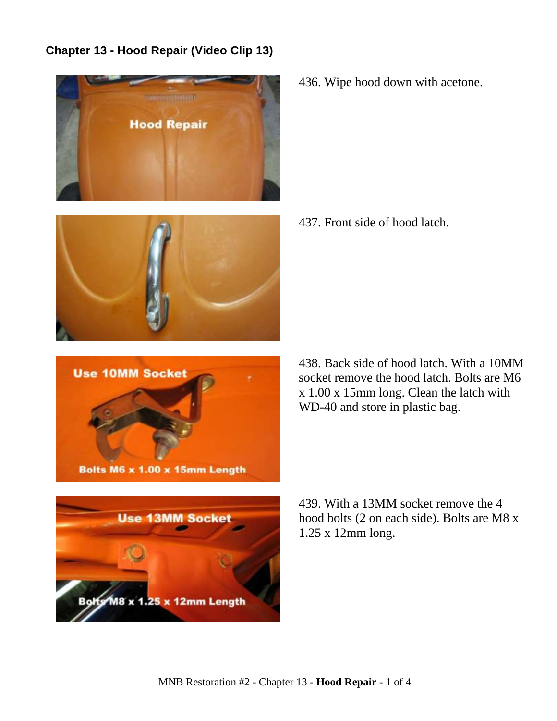## **Chapter 13 - Hood Repair (Video Clip 13)**









436. Wipe hood down with acetone.

437. Front side of hood latch.

438. Back side of hood latch. With a 10MM socket remove the hood latch. Bolts are M6 x 1.00 x 15mm long. Clean the latch with WD-40 and store in plastic bag.

439. With a 13MM socket remove the 4 hood bolts (2 on each side). Bolts are M8 x 1.25 x 12mm long.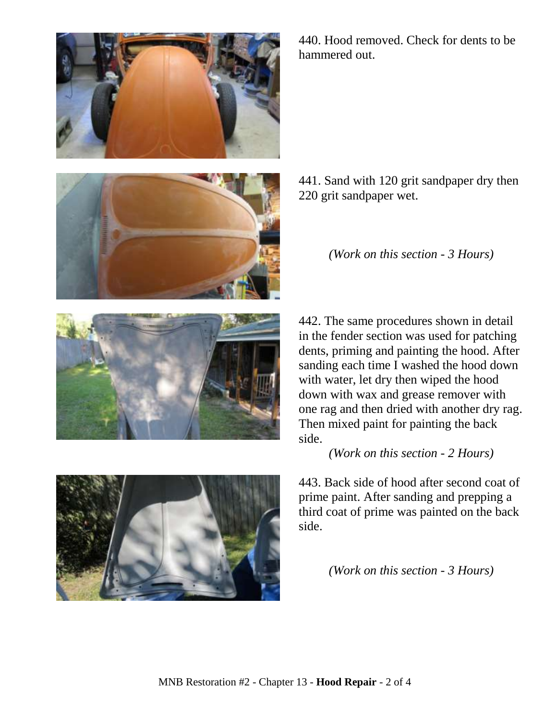



440. Hood removed. Check for dents to be hammered out.

441. Sand with 120 grit sandpaper dry then 220 grit sandpaper wet.

*(Work on this section - 3 Hours)*



*(Work on this section - 2 Hours)*

443. Back side of hood after second coat of prime paint. After sanding and prepping a third coat of prime was painted on the back side.

*(Work on this section - 3 Hours)*



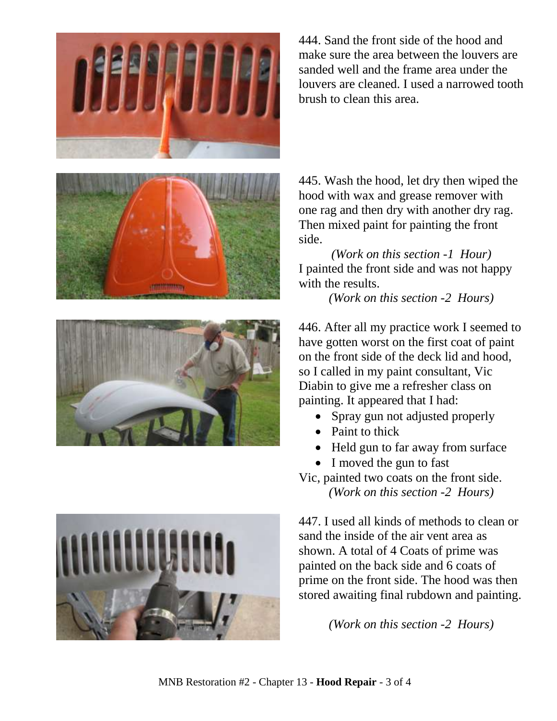







444. Sand the front side of the hood and make sure the area between the louvers are sanded well and the frame area under the louvers are cleaned. I used a narrowed tooth brush to clean this area.

445. Wash the hood, let dry then wiped the hood with wax and grease remover with one rag and then dry with another dry rag. Then mixed paint for painting the front side.

*(Work on this section -1 Hour)* I painted the front side and was not happy with the results.

*(Work on this section -2 Hours)*

446. After all my practice work I seemed to have gotten worst on the first coat of paint on the front side of the deck lid and hood, so I called in my paint consultant, Vic Diabin to give me a refresher class on painting. It appeared that I had:

- Spray gun not adjusted properly
- Paint to thick
- Held gun to far away from surface
- I moved the gun to fast

Vic, painted two coats on the front side. *(Work on this section -2 Hours)*

447. I used all kinds of methods to clean or sand the inside of the air vent area as shown. A total of 4 Coats of prime was painted on the back side and 6 coats of prime on the front side. The hood was then stored awaiting final rubdown and painting.

*(Work on this section -2 Hours)*